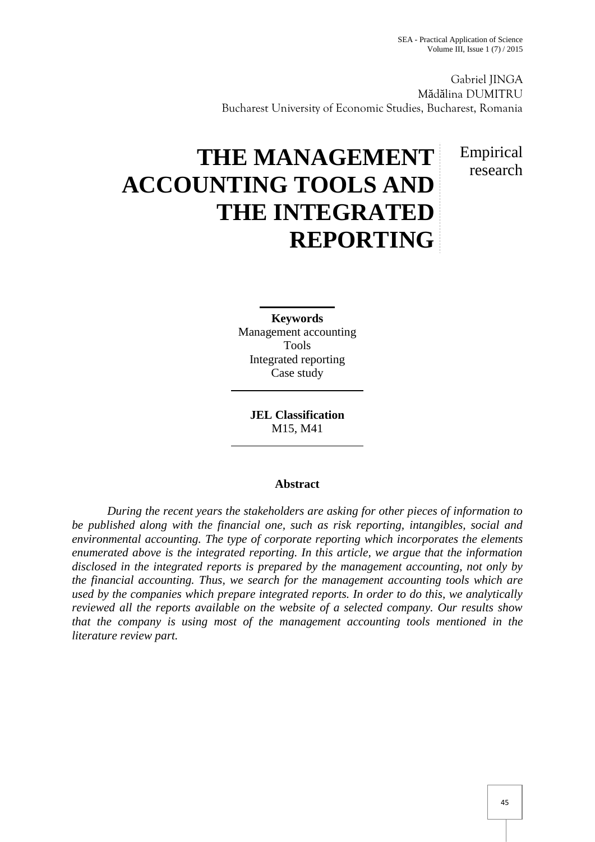Empirical research

Gabriel JINGA M d lina DUMITRU Bucharest University of Economic Studies, Bucharest, Romania

# **THE MANAGEMENT ACCOUNTING TOOLS AND THE INTEGRATED REPORTING**

**Keywords** Management accounting Tools Integrated reporting Case study

**JEL Classification** M15, M41

## **Abstract**

*During the recent years the stakeholders are asking for other pieces of information to be published along with the financial one, such as risk reporting, intangibles, social and environmental accounting. The type of corporate reporting which incorporates the elements enumerated above is the integrated reporting. In this article, we argue that the information disclosed in the integrated reports is prepared by the management accounting, not only by the financial accounting. Thus, we search for the management accounting tools which are used by the companies which prepare integrated reports. In order to do this, we analytically reviewed all the reports available on the website of a selected company. Our results show that the company is using most of the management accounting tools mentioned in the literature review part.*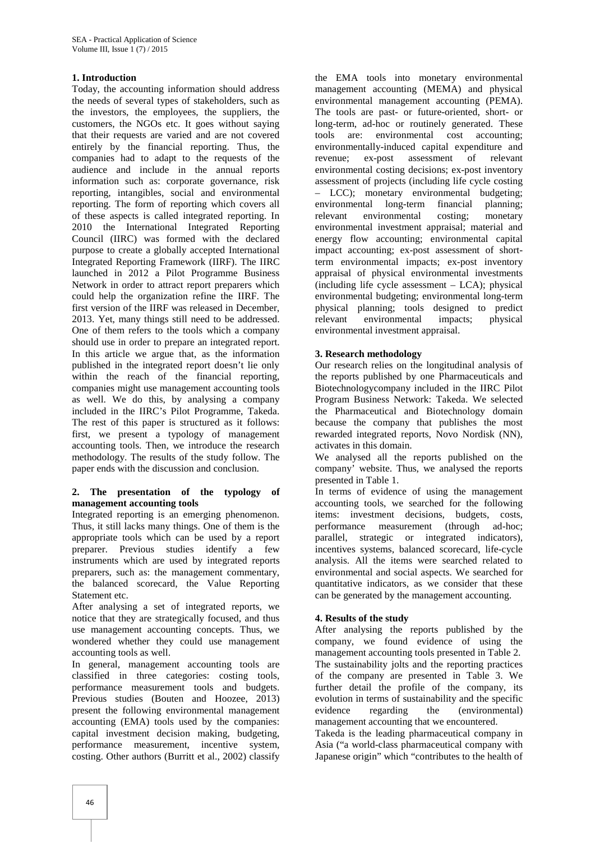### **1. Introduction**

Today, the accounting information should address the needs of several types of stakeholders, such as the investors, the employees, the suppliers, the customers, the NGOs etc. It goes without saying that their requests are varied and are not covered entirely by the financial reporting. Thus, the companies had to adapt to the requests of the audience and include in the annual reports information such as: corporate governance, risk reporting, intangibles, social and environmental reporting. The form of reporting which covers all of these aspects is called integrated reporting. In 2010 the International Integrated Reporting Council (IIRC) was formed with the declared purpose to create a globally accepted International Integrated Reporting Framework (IIRF). The IIRC launched in 2012 a Pilot Programme Business Network in order to attract report preparers which could help the organization refine the IIRF. The first version of the IIRF was released in December, 2013. Yet, many things still need to be addressed. One of them refers to the tools which a company should use in order to prepare an integrated report. In this article we argue that, as the information published in the integrated report doesn't lie only within the reach of the financial reporting, companies might use management accounting tools as well. We do this, by analysing a company included in the IIRC's Pilot Programme, Takeda. The rest of this paper is structured as it follows: first, we present a typology of management accounting tools. Then, we introduce the research methodology. The results of the study follow. The paper ends with the discussion and conclusion.

#### **2. The presentation of the typology of management accounting tools**

Integrated reporting is an emerging phenomenon. Thus, it still lacks many things. One of them is the appropriate tools which can be used by a report preparer. Previous studies identify a few instruments which are used by integrated reports preparers, such as: the management commentary, the balanced scorecard, the Value Reporting Statement etc.

After analysing a set of integrated reports, we notice that they are strategically focused, and thus use management accounting concepts. Thus, we wondered whether they could use management accounting tools as well.

In general, management accounting tools are classified in three categories: costing tools, performance measurement tools and budgets. Previous studies (Bouten and Hoozee, 2013) present the following environmental management accounting (EMA) tools used by the companies: capital investment decision making, budgeting, performance measurement, incentive system, costing. Other authors (Burritt et al., 2002) classify

the EMA tools into monetary environmental management accounting (MEMA) and physical environmental management accounting (PEMA). The tools are past- or future-oriented, short- or long-term, ad-hoc or routinely generated. These tools are: environmental cost accounting; environmentally-induced capital expenditure and<br>revenue: ex-post assessment of relevant revenue: ex-post assessment environmental costing decisions; ex-post inventory assessment of projects (including life cycle costing – LCC); monetary environmental budgeting; environmental long-term financial planning; environmental costing; monetary environmental investment appraisal; material and energy flow accounting; environmental capital impact accounting; ex-post assessment of shortterm environmental impacts; ex-post inventory appraisal of physical environmental investments (including life cycle assessment – LCA); physical environmental budgeting; environmental long-term physical planning; tools designed to predict relevant environmental impacts; physical environmental investment appraisal.

#### **3. Research methodology**

Our research relies on the longitudinal analysis of the reports published by one Pharmaceuticals and Biotechnologycompany included in the IIRC Pilot Program Business Network: Takeda. We selected the Pharmaceutical and Biotechnology domain because the company that publishes the most rewarded integrated reports, Novo Nordisk (NN), activates in this domain.

We analysed all the reports published on the company' website. Thus, we analysed the reports presented in Table 1.

In terms of evidence of using the management accounting tools, we searched for the following items: investment decisions, budgets, costs, performance measurement (through ad-hoc; parallel, strategic or integrated indicators), incentives systems, balanced scorecard, life-cycle analysis. All the items were searched related to environmental and social aspects. We searched for quantitative indicators, as we consider that these can be generated by the management accounting.

#### **4. Results of the study**

After analysing the reports published by the company, we found evidence of using the management accounting tools presented in Table 2. The sustainability jolts and the reporting practices of the company are presented in Table 3. We further detail the profile of the company, its evolution in terms of sustainability and the specific evidence regarding the (environmental) management accounting that we encountered.

Takeda is the leading pharmaceutical company in Asia ("a world-class pharmaceutical company with Japanese origin" which "contributes to the health of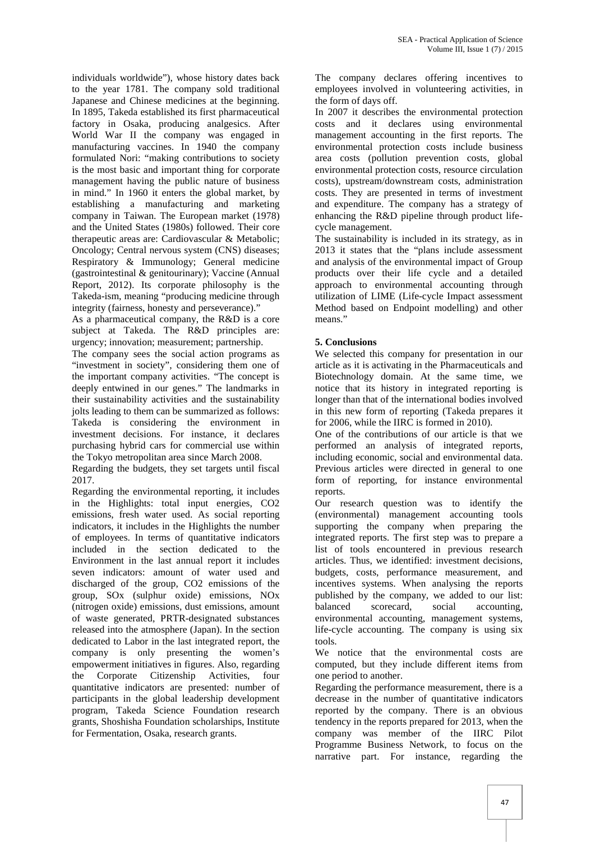individuals worldwide"), whose history dates back to the year 1781. The company sold traditional Japanese and Chinese medicines at the beginning. In 1895, Takeda established its first pharmaceutical factory in Osaka, producing analgesics. After World War II the company was engaged in manufacturing vaccines. In 1940 the company formulated Nori: "making contributions to society is the most basic and important thing for corporate management having the public nature of business in mind." In 1960 it enters the global market, by establishing a manufacturing and marketing company in Taiwan. The European market (1978) and the United States (1980s) followed. Their core therapeutic areas are: Cardiovascular & Metabolic; Oncology; Central nervous system (CNS) diseases; Respiratory & Immunology; General medicine (gastrointestinal & genitourinary); Vaccine (Annual Report, 2012). Its corporate philosophy is the Takeda-ism, meaning "producing medicine through integrity (fairness, honesty and perseverance)."

As a pharmaceutical company, the R&D is a core subject at Takeda. The R&D principles are: urgency; innovation; measurement; partnership.

The company sees the social action programs as "investment in society", considering them one of the important company activities. "The concept is deeply entwined in our genes." The landmarks in their sustainability activities and the sustainability jolts leading to them can be summarized as follows: Takeda is considering the environment in investment decisions. For instance, it declares purchasing hybrid cars for commercial use within the Tokyo metropolitan area since March 2008.

Regarding the budgets, they set targets until fiscal 2017.

Regarding the environmental reporting, it includes in the Highlights: total input energies, CO2 emissions, fresh water used. As social reporting indicators, it includes in the Highlights the number of employees. In terms of quantitative indicators included in the section dedicated to the Environment in the last annual report it includes seven indicators: amount of water used and discharged of the group, CO2 emissions of the group, SOx (sulphur oxide) emissions, NOx (nitrogen oxide) emissions, dust emissions, amount of waste generated, PRTR-designated substances released into the atmosphere (Japan). In the section dedicated to Labor in the last integrated report, the company is only presenting the women's empowerment initiatives in figures. Also, regarding the Corporate Citizenship Activities, four quantitative indicators are presented: number of participants in the global leadership development program, Takeda Science Foundation research grants, Shoshisha Foundation scholarships, Institute for Fermentation, Osaka, research grants.

The company declares offering incentives to employees involved in volunteering activities, in the form of days off.

In 2007 it describes the environmental protection costs and it declares using environmental management accounting in the first reports. The environmental protection costs include business area costs (pollution prevention costs, global environmental protection costs, resource circulation costs), upstream/downstream costs, administration costs. They are presented in terms of investment and expenditure. The company has a strategy of enhancing the R&D pipeline through product life cycle management.

The sustainability is included in its strategy, as in 2013 it states that the "plans include assessment and analysis of the environmental impact of Group products over their life cycle and a detailed approach to environmental accounting through utilization of LIME (Life-cycle Impact assessment Method based on Endpoint modelling) and other means."

## **5. Conclusions**

We selected this company for presentation in our article as it is activating in the Pharmaceuticals and Biotechnology domain. At the same time, we notice that its history in integrated reporting is longer than that of the international bodies involved in this new form of reporting (Takeda prepares it for 2006, while the IIRC is formed in 2010).

One of the contributions of our article is that we performed an analysis of integrated reports, including economic, social and environmental data. Previous articles were directed in general to one form of reporting, for instance environmental reports.

Our research question was to identify the (environmental) management accounting tools supporting the company when preparing the integrated reports. The first step was to prepare a list of tools encountered in previous research articles. Thus, we identified: investment decisions, budgets, costs, performance measurement, and incentives systems. When analysing the reports published by the company, we added to our list: balanced scorecard, social accounting, environmental accounting, management systems, life-cycle accounting. The company is using six tools.

We notice that the environmental costs are computed, but they include different items from one period to another.

Regarding the performance measurement, there is a decrease in the number of quantitative indicators reported by the company. There is an obvious tendency in the reports prepared for 2013, when the company was member of the IIRC Pilot Programme Business Network, to focus on the narrative part. For instance, regarding the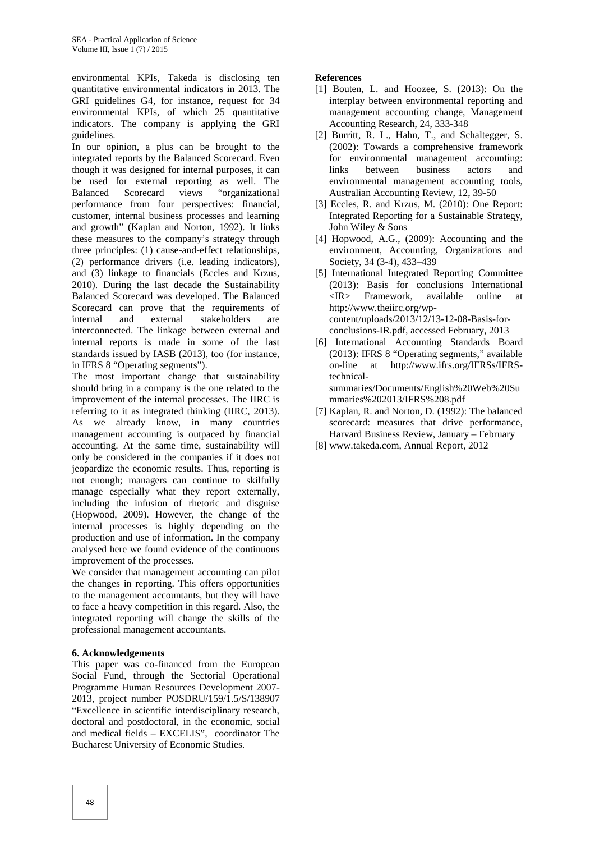environmental KPIs, Takeda is disclosing ten quantitative environmental indicators in 2013. The GRI guidelines G4, for instance, request for 34 environmental KPIs, of which 25 quantitative indicators. The company is applying the GRI guidelines.

In our opinion, a plus can be brought to the integrated reports by the Balanced Scorecard. Even though it was designed for internal purposes, it can be used for external reporting as well. The Balanced Scorecard views "organizational performance from four perspectives: financial, customer, internal business processes and learning and growth" (Kaplan and Norton, 1992). It links these measures to the company's strategy through three principles: (1) cause-and-effect relationships, (2) performance drivers (i.e. leading indicators), and (3) linkage to financials (Eccles and Krzus, 2010). During the last decade the Sustainability Balanced Scorecard was developed. The Balanced Scorecard can prove that the requirements of internal and external stakeholders are interconnected. The linkage between external and internal reports is made in some of the last standards issued by IASB (2013), too (for instance, in IFRS 8 "Operating segments").

The most important change that sustainability should bring in a company is the one related to the improvement of the internal processes. The IIRC is referring to it as integrated thinking (IIRC, 2013). As we already know, in many countries management accounting is outpaced by financial accounting. At the same time, sustainability will only be considered in the companies if it does not jeopardize the economic results. Thus, reporting is not enough; managers can continue to skilfully manage especially what they report externally, including the infusion of rhetoric and disguise (Hopwood, 2009). However, the change of the internal processes is highly depending on the production and use of information. In the company analysed here we found evidence of the continuous improvement of the processes.

We consider that management accounting can pilot the changes in reporting. This offers opportunities to the management accountants, but they will have to face a heavy competition in this regard. Also, the integrated reporting will change the skills of the professional management accountants.

#### **6. Acknowledgements**

This paper was co-financed from the European Social Fund, through the Sectorial Operational Programme Human Resources Development 2007- 2013, project number POSDRU/159/1.5/S/138907 "Excellence in scientific interdisciplinary research, doctoral and postdoctoral, in the economic, social and medical fields – EXCELIS", coordinator The Bucharest University of Economic Studies.

## **References**

- [1] Bouten, L. and Hoozee, S. (2013): On the interplay between environmental reporting and management accounting change, Management Accounting Research, 24, 333-348
- [2] Burritt, R. L., Hahn, T., and Schaltegger, S. (2002): Towards a comprehensive framework for environmental management accounting: links between business actors and environmental management accounting tools, Australian Accounting Review, 12, 39-50
- [3] Eccles, R. and Krzus, M. (2010): One Report: Integrated Reporting for a Sustainable Strategy, John Wiley & Sons
- [4] Hopwood, A.G., (2009): Accounting and the environment, Accounting, Organizations and Society, 34 (3-4), 433–439
- [5] International Integrated Reporting Committee (2013): Basis for conclusions International <IR> Framework, available online at http://www.theiirc.org/wp content/uploads/2013/12/13-12-08-Basis-for conclusions-IR.pdf, accessed February, 2013
- [6] International Accounting Standards Board (2013): IFRS 8 "Operating segments," available on-line at http://www.ifrs.org/IFRSs/IFRStechnical summaries/Documents/English%20Web%20Su mmaries%202013/IFRS%208.pdf
- [7] Kaplan, R. and Norton, D. (1992): The balanced scorecard: measures that drive performance, Harvard Business Review, January – February
- [8] www.takeda.com, Annual Report, 2012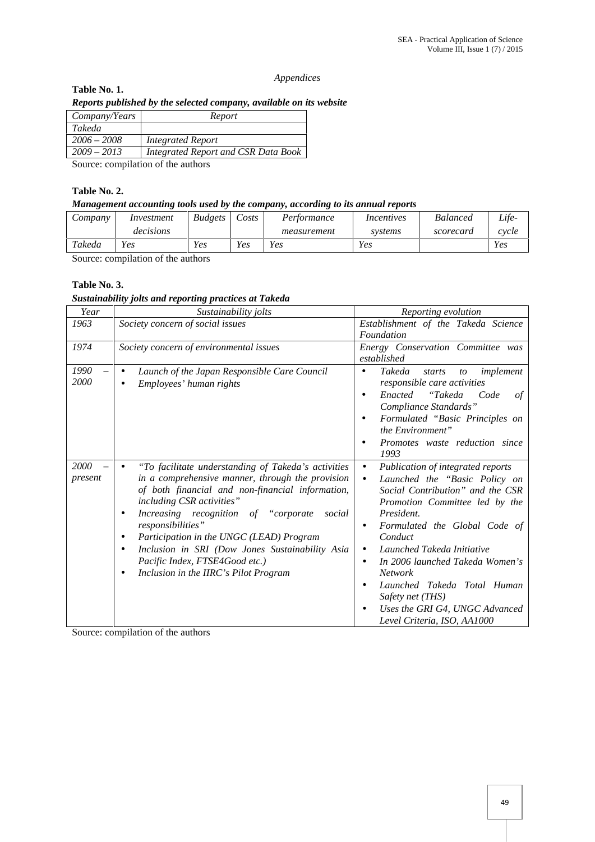#### *Appendices*

# **Table No. 1.** *Reports published by the selected company, available on its website*

| Company/Years | Report                              |
|---------------|-------------------------------------|
| Takeda        |                                     |
| $2006 - 2008$ | Integrated Report                   |
| $2009 - 2013$ | Integrated Report and CSR Data Book |
|               |                                     |

Source: compilation of the authors

## **Table No. 2.**

## *Management accounting tools used by the company, according to its annual reports*

| Company | Investment | <b>Budgets</b> | $\angle \text{O}$ sts | Performance | Incentives | <b>Balanced</b> | Life- |
|---------|------------|----------------|-----------------------|-------------|------------|-----------------|-------|
|         | decisions  |                |                       | measurement | systems    | scorecard       | cycle |
| Takeda  | Yes        | Yes            | $v_{es}$              | Yes         | Yes        |                 | Yes   |

Source: compilation of the authors

## **Table No. 3.**

## *Sustainability jolts and reporting practices at Takeda*

| Year            | Sustainability jolts                                                                                                                                                                                                                                                                                                                                                                                                                                                                                       | Reporting evolution                                                                                                                                                                                                                                                                                                                                                                                                                                                                   |  |  |  |
|-----------------|------------------------------------------------------------------------------------------------------------------------------------------------------------------------------------------------------------------------------------------------------------------------------------------------------------------------------------------------------------------------------------------------------------------------------------------------------------------------------------------------------------|---------------------------------------------------------------------------------------------------------------------------------------------------------------------------------------------------------------------------------------------------------------------------------------------------------------------------------------------------------------------------------------------------------------------------------------------------------------------------------------|--|--|--|
| 1963            | Society concern of social issues                                                                                                                                                                                                                                                                                                                                                                                                                                                                           | Establishment of the Takeda Science<br>Foundation                                                                                                                                                                                                                                                                                                                                                                                                                                     |  |  |  |
| 1974            | Society concern of environmental issues                                                                                                                                                                                                                                                                                                                                                                                                                                                                    | Energy Conservation Committee was<br>established                                                                                                                                                                                                                                                                                                                                                                                                                                      |  |  |  |
| 1990<br>2000    | Launch of the Japan Responsible Care Council<br>$\bullet$<br>Employees' human rights<br>$\bullet$                                                                                                                                                                                                                                                                                                                                                                                                          | Takeda<br>implement<br>starts<br>$\mathfrak{c}$<br>$\bullet$<br>responsible care activities<br>Enacted<br>"Takeda<br>of<br>Code<br>$\bullet$<br>Compliance Standards"<br>Formulated "Basic Principles on<br>$\bullet$<br>the Environment"<br>Promotes waste reduction since<br>$\bullet$<br>1993                                                                                                                                                                                      |  |  |  |
| 2000<br>present | "To facilitate understanding of Takeda's activities<br>$\bullet$<br>in a comprehensive manner, through the provision<br>of both financial and non-financial information,<br>including CSR activities"<br>Increasing recognition of "corporate<br>social<br>$\bullet$<br>responsibilities"<br>Participation in the UNGC (LEAD) Program<br>$\bullet$<br>Inclusion in SRI (Dow Jones Sustainability Asia<br>$\bullet$<br>Pacific Index, FTSE4Good etc.)<br>Inclusion in the IIRC's Pilot Program<br>$\bullet$ | Publication of integrated reports<br>$\bullet$<br>Launched the "Basic Policy on<br>$\bullet$<br>Social Contribution" and the CSR<br>Promotion Committee led by the<br>President.<br>Formulated the Global Code of<br>$\bullet$<br>Conduct<br>Launched Takeda Initiative<br>$\bullet$<br>In 2006 launched Takeda Women's<br>٠<br>Network<br>Launched Takeda Total Human<br>$\bullet$<br>Safety net (THS)<br>Uses the GRI G4, UNGC Advanced<br>$\bullet$<br>Level Criteria, ISO, AA1000 |  |  |  |

Source: compilation of the authors